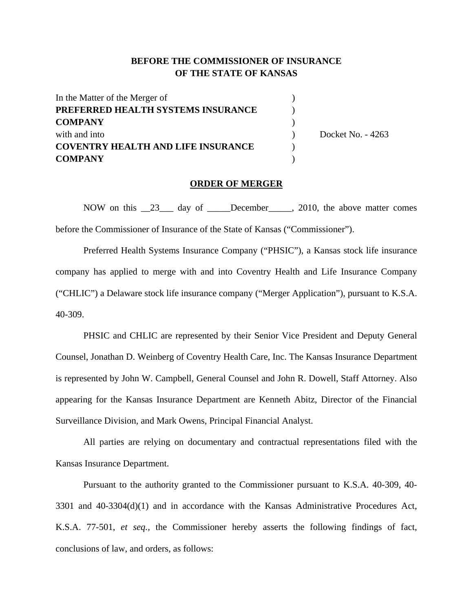## **BEFORE THE COMMISSIONER OF INSURANCE OF THE STATE OF KANSAS**

| In the Matter of the Merger of            |  |                   |
|-------------------------------------------|--|-------------------|
| PREFERRED HEALTH SYSTEMS INSURANCE        |  | Docket No. - 4263 |
| <b>COMPANY</b>                            |  |                   |
| with and into                             |  |                   |
| <b>COVENTRY HEALTH AND LIFE INSURANCE</b> |  |                   |
| <b>COMPANY</b>                            |  |                   |

#### **ORDER OF MERGER**

NOW on this 23 day of December 2010, the above matter comes before the Commissioner of Insurance of the State of Kansas ("Commissioner").

Preferred Health Systems Insurance Company ("PHSIC"), a Kansas stock life insurance company has applied to merge with and into Coventry Health and Life Insurance Company ("CHLIC") a Delaware stock life insurance company ("Merger Application"), pursuant to K.S.A. 40-309.

PHSIC and CHLIC are represented by their Senior Vice President and Deputy General Counsel, Jonathan D. Weinberg of Coventry Health Care, Inc. The Kansas Insurance Department is represented by John W. Campbell, General Counsel and John R. Dowell, Staff Attorney. Also appearing for the Kansas Insurance Department are Kenneth Abitz, Director of the Financial Surveillance Division, and Mark Owens, Principal Financial Analyst.

All parties are relying on documentary and contractual representations filed with the Kansas Insurance Department.

Pursuant to the authority granted to the Commissioner pursuant to K.S.A. 40-309, 40- 3301 and 40-3304(d)(1) and in accordance with the Kansas Administrative Procedures Act, K.S.A. 77-501, *et seq.,* the Commissioner hereby asserts the following findings of fact, conclusions of law, and orders, as follows: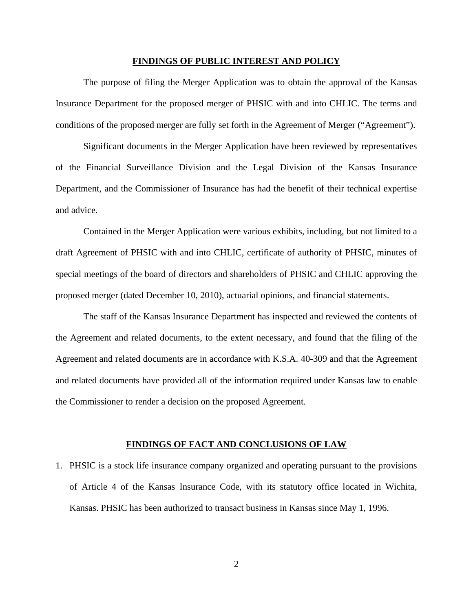#### **FINDINGS OF PUBLIC INTEREST AND POLICY**

The purpose of filing the Merger Application was to obtain the approval of the Kansas Insurance Department for the proposed merger of PHSIC with and into CHLIC. The terms and conditions of the proposed merger are fully set forth in the Agreement of Merger ("Agreement").

Significant documents in the Merger Application have been reviewed by representatives of the Financial Surveillance Division and the Legal Division of the Kansas Insurance Department, and the Commissioner of Insurance has had the benefit of their technical expertise and advice.

Contained in the Merger Application were various exhibits, including, but not limited to a draft Agreement of PHSIC with and into CHLIC, certificate of authority of PHSIC, minutes of special meetings of the board of directors and shareholders of PHSIC and CHLIC approving the proposed merger (dated December 10, 2010), actuarial opinions, and financial statements.

The staff of the Kansas Insurance Department has inspected and reviewed the contents of the Agreement and related documents, to the extent necessary, and found that the filing of the Agreement and related documents are in accordance with K.S.A. 40-309 and that the Agreement and related documents have provided all of the information required under Kansas law to enable the Commissioner to render a decision on the proposed Agreement.

#### **FINDINGS OF FACT AND CONCLUSIONS OF LAW**

1. PHSIC is a stock life insurance company organized and operating pursuant to the provisions of Article 4 of the Kansas Insurance Code, with its statutory office located in Wichita, Kansas. PHSIC has been authorized to transact business in Kansas since May 1, 1996.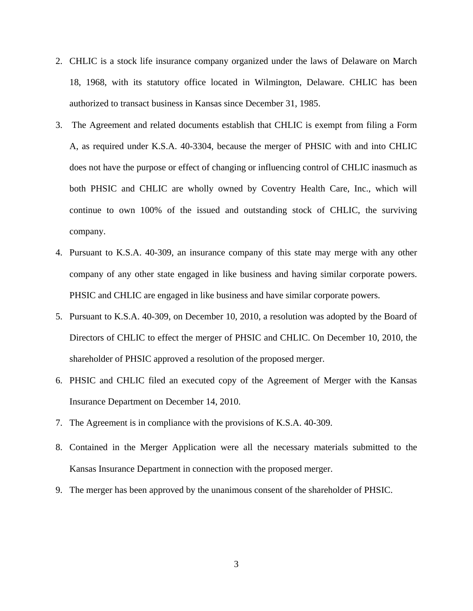- 2. CHLIC is a stock life insurance company organized under the laws of Delaware on March 18, 1968, with its statutory office located in Wilmington, Delaware. CHLIC has been authorized to transact business in Kansas since December 31, 1985.
- 3. The Agreement and related documents establish that CHLIC is exempt from filing a Form A, as required under K.S.A. 40-3304, because the merger of PHSIC with and into CHLIC does not have the purpose or effect of changing or influencing control of CHLIC inasmuch as both PHSIC and CHLIC are wholly owned by Coventry Health Care, Inc., which will continue to own 100% of the issued and outstanding stock of CHLIC, the surviving company.
- 4. Pursuant to K.S.A. 40-309, an insurance company of this state may merge with any other company of any other state engaged in like business and having similar corporate powers. PHSIC and CHLIC are engaged in like business and have similar corporate powers.
- 5. Pursuant to K.S.A. 40-309, on December 10, 2010, a resolution was adopted by the Board of Directors of CHLIC to effect the merger of PHSIC and CHLIC. On December 10, 2010, the shareholder of PHSIC approved a resolution of the proposed merger.
- 6. PHSIC and CHLIC filed an executed copy of the Agreement of Merger with the Kansas Insurance Department on December 14, 2010.
- 7. The Agreement is in compliance with the provisions of K.S.A. 40-309.
- 8. Contained in the Merger Application were all the necessary materials submitted to the Kansas Insurance Department in connection with the proposed merger.
- 9. The merger has been approved by the unanimous consent of the shareholder of PHSIC.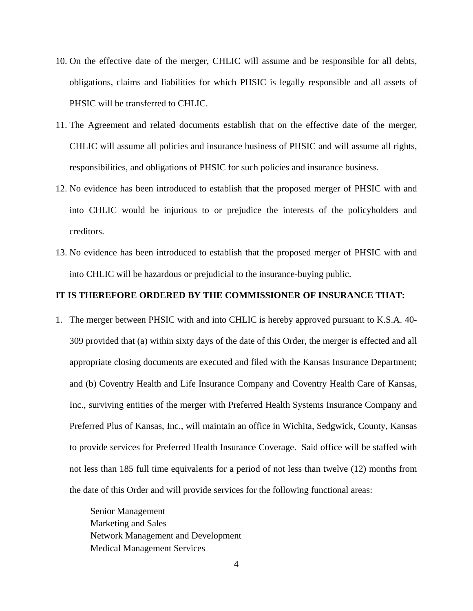- 10. On the effective date of the merger, CHLIC will assume and be responsible for all debts, obligations, claims and liabilities for which PHSIC is legally responsible and all assets of PHSIC will be transferred to CHLIC.
- 11. The Agreement and related documents establish that on the effective date of the merger, CHLIC will assume all policies and insurance business of PHSIC and will assume all rights, responsibilities, and obligations of PHSIC for such policies and insurance business.
- 12. No evidence has been introduced to establish that the proposed merger of PHSIC with and into CHLIC would be injurious to or prejudice the interests of the policyholders and creditors.
- 13. No evidence has been introduced to establish that the proposed merger of PHSIC with and into CHLIC will be hazardous or prejudicial to the insurance-buying public.

### **IT IS THEREFORE ORDERED BY THE COMMISSIONER OF INSURANCE THAT:**

1. The merger between PHSIC with and into CHLIC is hereby approved pursuant to K.S.A. 40- 309 provided that (a) within sixty days of the date of this Order, the merger is effected and all appropriate closing documents are executed and filed with the Kansas Insurance Department; and (b) Coventry Health and Life Insurance Company and Coventry Health Care of Kansas, Inc., surviving entities of the merger with Preferred Health Systems Insurance Company and Preferred Plus of Kansas, Inc., will maintain an office in Wichita, Sedgwick, County, Kansas to provide services for Preferred Health Insurance Coverage. Said office will be staffed with not less than 185 full time equivalents for a period of not less than twelve (12) months from the date of this Order and will provide services for the following functional areas:

Senior Management Marketing and Sales Network Management and Development Medical Management Services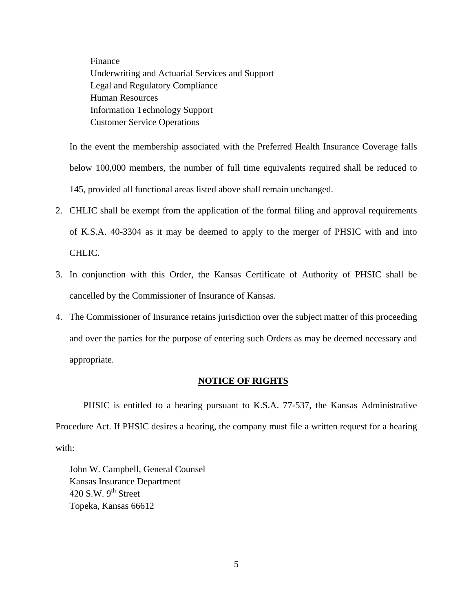Finance Underwriting and Actuarial Services and Support Legal and Regulatory Compliance Human Resources Information Technology Support Customer Service Operations

In the event the membership associated with the Preferred Health Insurance Coverage falls below 100,000 members, the number of full time equivalents required shall be reduced to 145, provided all functional areas listed above shall remain unchanged.

- 2. CHLIC shall be exempt from the application of the formal filing and approval requirements of K.S.A. 40-3304 as it may be deemed to apply to the merger of PHSIC with and into CHLIC.
- 3. In conjunction with this Order, the Kansas Certificate of Authority of PHSIC shall be cancelled by the Commissioner of Insurance of Kansas.
- 4. The Commissioner of Insurance retains jurisdiction over the subject matter of this proceeding and over the parties for the purpose of entering such Orders as may be deemed necessary and appropriate.

## **NOTICE OF RIGHTS**

PHSIC is entitled to a hearing pursuant to K.S.A. 77-537, the Kansas Administrative Procedure Act. If PHSIC desires a hearing, the company must file a written request for a hearing with:

 John W. Campbell, General Counsel Kansas Insurance Department 420 S.W.  $9<sup>th</sup>$  Street Topeka, Kansas 66612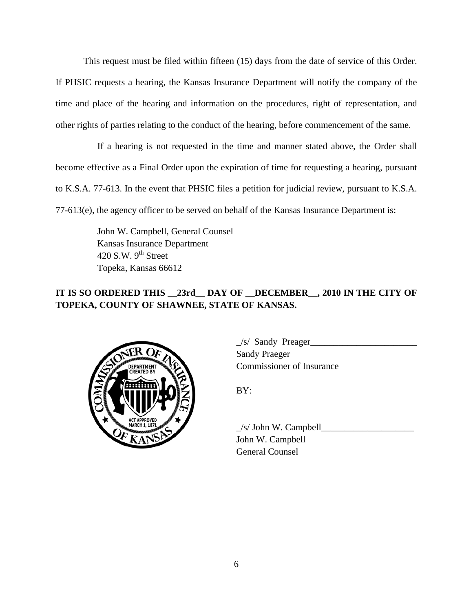This request must be filed within fifteen (15) days from the date of service of this Order. If PHSIC requests a hearing, the Kansas Insurance Department will notify the company of the time and place of the hearing and information on the procedures, right of representation, and other rights of parties relating to the conduct of the hearing, before commencement of the same.

 If a hearing is not requested in the time and manner stated above, the Order shall become effective as a Final Order upon the expiration of time for requesting a hearing, pursuant to K.S.A. 77-613. In the event that PHSIC files a petition for judicial review, pursuant to K.S.A. 77-613(e), the agency officer to be served on behalf of the Kansas Insurance Department is:

> John W. Campbell, General Counsel Kansas Insurance Department 420 S.W.  $9<sup>th</sup>$  Street Topeka, Kansas 66612

# **IT IS SO ORDERED THIS \_\_23rd\_\_ DAY OF \_\_DECEMBER\_\_, 2010 IN THE CITY OF TOPEKA, COUNTY OF SHAWNEE, STATE OF KANSAS.**



 $\angle$ s/ Sandy Preager $\angle$  Sandy Praeger COMMISSIONER COMMISSIONER OF Insurance

 $\angle$ s/ John W. Campbell $\angle$  John W. Campbell General Counsel